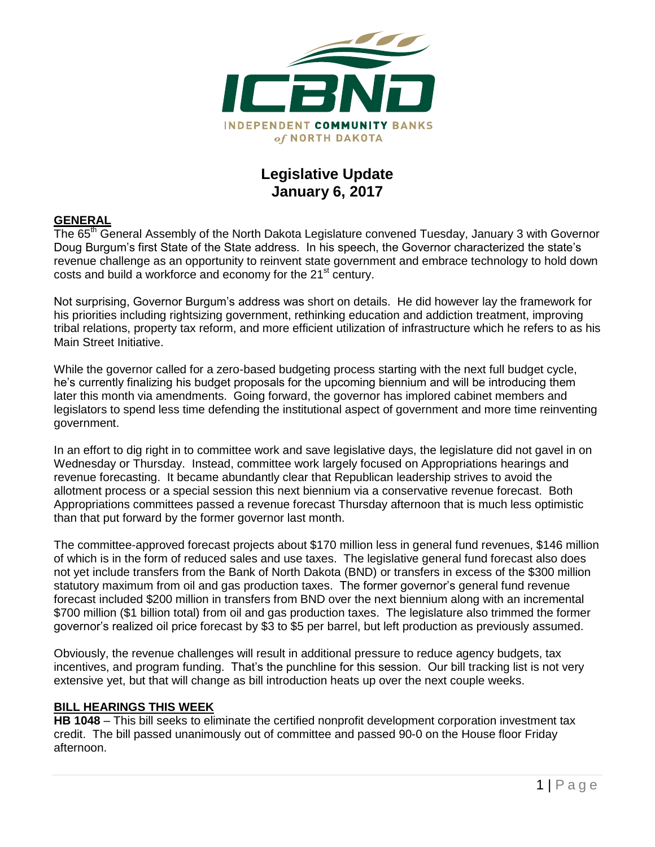

# **Legislative Update January 6, 2017**

## **GENERAL**

The 65<sup>th</sup> General Assembly of the North Dakota Legislature convened Tuesday, January 3 with Governor Doug Burgum's first State of the State address. In his speech, the Governor characterized the state's revenue challenge as an opportunity to reinvent state government and embrace technology to hold down costs and build a workforce and economy for the 21<sup>st</sup> century.

Not surprising, Governor Burgum's address was short on details. He did however lay the framework for his priorities including rightsizing government, rethinking education and addiction treatment, improving tribal relations, property tax reform, and more efficient utilization of infrastructure which he refers to as his Main Street Initiative.

While the governor called for a zero-based budgeting process starting with the next full budget cycle, he's currently finalizing his budget proposals for the upcoming biennium and will be introducing them later this month via amendments. Going forward, the governor has implored cabinet members and legislators to spend less time defending the institutional aspect of government and more time reinventing government.

In an effort to dig right in to committee work and save legislative days, the legislature did not gavel in on Wednesday or Thursday. Instead, committee work largely focused on Appropriations hearings and revenue forecasting. It became abundantly clear that Republican leadership strives to avoid the allotment process or a special session this next biennium via a conservative revenue forecast. Both Appropriations committees passed a revenue forecast Thursday afternoon that is much less optimistic than that put forward by the former governor last month.

The committee-approved forecast projects about \$170 million less in general fund revenues, \$146 million of which is in the form of reduced sales and use taxes. The legislative general fund forecast also does not yet include transfers from the Bank of North Dakota (BND) or transfers in excess of the \$300 million statutory maximum from oil and gas production taxes. The former governor's general fund revenue forecast included \$200 million in transfers from BND over the next biennium along with an incremental \$700 million (\$1 billion total) from oil and gas production taxes. The legislature also trimmed the former governor's realized oil price forecast by \$3 to \$5 per barrel, but left production as previously assumed.

Obviously, the revenue challenges will result in additional pressure to reduce agency budgets, tax incentives, and program funding. That's the punchline for this session. Our bill tracking list is not very extensive yet, but that will change as bill introduction heats up over the next couple weeks.

#### **BILL HEARINGS THIS WEEK**

**HB 1048** – This bill seeks to eliminate the certified nonprofit development corporation investment tax credit. The bill passed unanimously out of committee and passed 90-0 on the House floor Friday afternoon.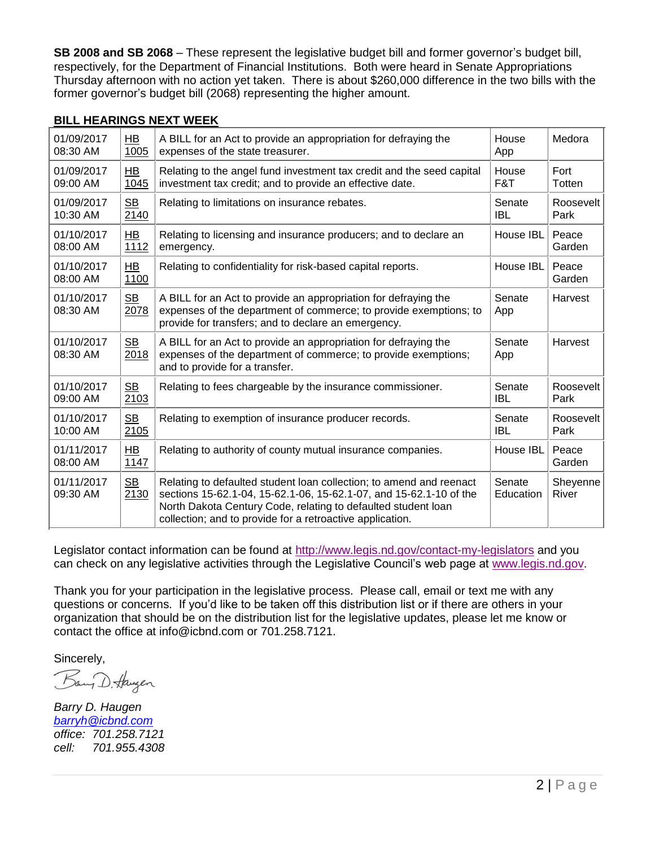**SB 2008 and SB 2068** – These represent the legislative budget bill and former governor's budget bill, respectively, for the Department of Financial Institutions. Both were heard in Senate Appropriations Thursday afternoon with no action yet taken. There is about \$260,000 difference in the two bills with the former governor's budget bill (2068) representing the higher amount.

## **BILL HEARINGS NEXT WEEK**

| 01/09/2017             | <b>HB</b>              | A BILL for an Act to provide an appropriation for defraying the                                                                                                                                                                                                         | House               | Medora            |
|------------------------|------------------------|-------------------------------------------------------------------------------------------------------------------------------------------------------------------------------------------------------------------------------------------------------------------------|---------------------|-------------------|
| 08:30 AM               | 1005                   | expenses of the state treasurer.                                                                                                                                                                                                                                        | App                 |                   |
| 01/09/2017             | $H$ B                  | Relating to the angel fund investment tax credit and the seed capital                                                                                                                                                                                                   | House               | Fort              |
| 09:00 AM               | 1045                   | investment tax credit; and to provide an effective date.                                                                                                                                                                                                                | F&T                 | Totten            |
| 01/09/2017             | S <sub>B</sub>         | Relating to limitations on insurance rebates.                                                                                                                                                                                                                           | Senate              | Roosevelt         |
| 10:30 AM               | 2140                   |                                                                                                                                                                                                                                                                         | <b>IBL</b>          | Park              |
| 01/10/2017             | HB                     | Relating to licensing and insurance producers; and to declare an                                                                                                                                                                                                        | House IBL           | Peace             |
| 08:00 AM               | 1112                   | emergency.                                                                                                                                                                                                                                                              |                     | Garden            |
| 01/10/2017<br>08:00 AM | $H$ B<br>1100          | Relating to confidentiality for risk-based capital reports.                                                                                                                                                                                                             | House IBL           | Peace<br>Garden   |
| 01/10/2017<br>08:30 AM | S <sub>B</sub><br>2078 | A BILL for an Act to provide an appropriation for defraying the<br>expenses of the department of commerce; to provide exemptions; to<br>provide for transfers; and to declare an emergency.                                                                             | Senate<br>App       | Harvest           |
| 01/10/2017<br>08:30 AM | SB<br>2018             | A BILL for an Act to provide an appropriation for defraying the<br>expenses of the department of commerce; to provide exemptions;<br>and to provide for a transfer.                                                                                                     | Senate<br>App       | Harvest           |
| 01/10/2017             | SB                     | Relating to fees chargeable by the insurance commissioner.                                                                                                                                                                                                              | Senate              | Roosevelt         |
| 09:00 AM               | 2103                   |                                                                                                                                                                                                                                                                         | <b>IBL</b>          | Park              |
| 01/10/2017             | <b>SB</b>              | Relating to exemption of insurance producer records.                                                                                                                                                                                                                    | Senate              | Roosevelt         |
| 10:00 AM               | 2105                   |                                                                                                                                                                                                                                                                         | <b>IBL</b>          | Park              |
| 01/11/2017<br>08:00 AM | HB<br>1147             | Relating to authority of county mutual insurance companies.                                                                                                                                                                                                             | House IBL           | Peace<br>Garden   |
| 01/11/2017<br>09:30 AM | <b>SB</b><br>2130      | Relating to defaulted student loan collection; to amend and reenact<br>sections 15-62.1-04, 15-62.1-06, 15-62.1-07, and 15-62.1-10 of the<br>North Dakota Century Code, relating to defaulted student loan<br>collection; and to provide for a retroactive application. | Senate<br>Education | Sheyenne<br>River |

Legislator contact information can be found at<http://www.legis.nd.gov/contact-my-legislators> and you can check on any legislative activities through the Legislative Council's web page at [www.legis.nd.gov.](http://www.legis.nd.gov/)

Thank you for your participation in the legislative process. Please call, email or text me with any questions or concerns. If you'd like to be taken off this distribution list or if there are others in your organization that should be on the distribution list for the legislative updates, please let me know or contact the office at [info@icbnd.com](mailto:info@icbnd.com) or 701.258.7121.

Sincerely,

Bany D. Haugen

*Barry D. Haugen [barryh@icbnd.com](mailto:barryh@icbnd.com) office: 701.258.7121 cell: 701.955.4308*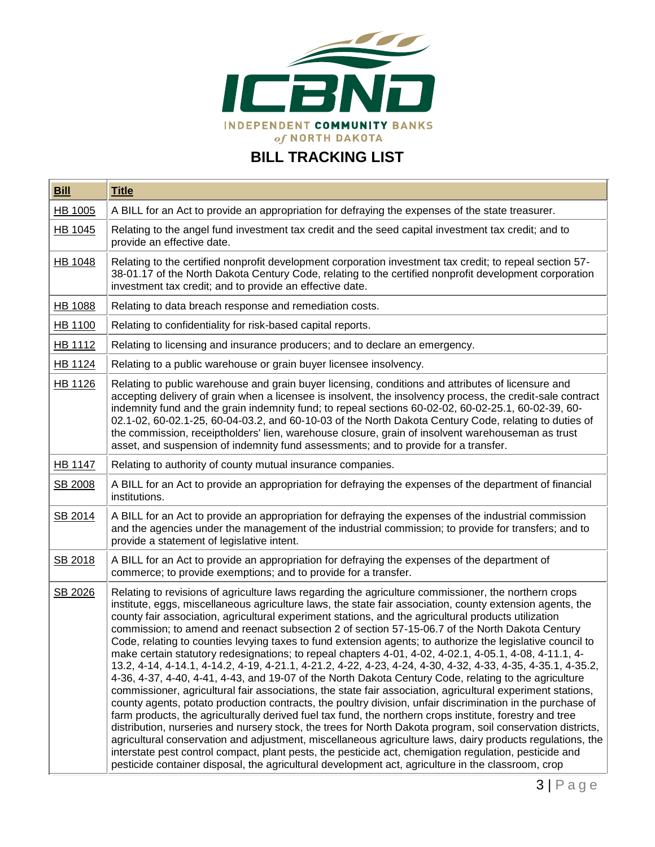

# **BILL TRACKING LIST**

| <b>Bill</b>    | <b>Title</b>                                                                                                                                                                                                                                                                                                                                                                                                                                                                                                                                                                                                                                                                                                                                                                                                                                                                                                                                                                                                                                                                                                                                                                                                                                                                                                                                                                                                                                                                                                                                                                                                                                                      |  |  |
|----------------|-------------------------------------------------------------------------------------------------------------------------------------------------------------------------------------------------------------------------------------------------------------------------------------------------------------------------------------------------------------------------------------------------------------------------------------------------------------------------------------------------------------------------------------------------------------------------------------------------------------------------------------------------------------------------------------------------------------------------------------------------------------------------------------------------------------------------------------------------------------------------------------------------------------------------------------------------------------------------------------------------------------------------------------------------------------------------------------------------------------------------------------------------------------------------------------------------------------------------------------------------------------------------------------------------------------------------------------------------------------------------------------------------------------------------------------------------------------------------------------------------------------------------------------------------------------------------------------------------------------------------------------------------------------------|--|--|
| HB 1005        | A BILL for an Act to provide an appropriation for defraying the expenses of the state treasurer.                                                                                                                                                                                                                                                                                                                                                                                                                                                                                                                                                                                                                                                                                                                                                                                                                                                                                                                                                                                                                                                                                                                                                                                                                                                                                                                                                                                                                                                                                                                                                                  |  |  |
| HB 1045        | Relating to the angel fund investment tax credit and the seed capital investment tax credit; and to<br>provide an effective date.                                                                                                                                                                                                                                                                                                                                                                                                                                                                                                                                                                                                                                                                                                                                                                                                                                                                                                                                                                                                                                                                                                                                                                                                                                                                                                                                                                                                                                                                                                                                 |  |  |
| HB 1048        | Relating to the certified nonprofit development corporation investment tax credit; to repeal section 57-<br>38-01.17 of the North Dakota Century Code, relating to the certified nonprofit development corporation<br>investment tax credit; and to provide an effective date.                                                                                                                                                                                                                                                                                                                                                                                                                                                                                                                                                                                                                                                                                                                                                                                                                                                                                                                                                                                                                                                                                                                                                                                                                                                                                                                                                                                    |  |  |
| <b>HB 1088</b> | Relating to data breach response and remediation costs.                                                                                                                                                                                                                                                                                                                                                                                                                                                                                                                                                                                                                                                                                                                                                                                                                                                                                                                                                                                                                                                                                                                                                                                                                                                                                                                                                                                                                                                                                                                                                                                                           |  |  |
| <b>HB 1100</b> | Relating to confidentiality for risk-based capital reports.                                                                                                                                                                                                                                                                                                                                                                                                                                                                                                                                                                                                                                                                                                                                                                                                                                                                                                                                                                                                                                                                                                                                                                                                                                                                                                                                                                                                                                                                                                                                                                                                       |  |  |
| HB 1112        | Relating to licensing and insurance producers; and to declare an emergency.                                                                                                                                                                                                                                                                                                                                                                                                                                                                                                                                                                                                                                                                                                                                                                                                                                                                                                                                                                                                                                                                                                                                                                                                                                                                                                                                                                                                                                                                                                                                                                                       |  |  |
| HB 1124        | Relating to a public warehouse or grain buyer licensee insolvency.                                                                                                                                                                                                                                                                                                                                                                                                                                                                                                                                                                                                                                                                                                                                                                                                                                                                                                                                                                                                                                                                                                                                                                                                                                                                                                                                                                                                                                                                                                                                                                                                |  |  |
| HB 1126        | Relating to public warehouse and grain buyer licensing, conditions and attributes of licensure and<br>accepting delivery of grain when a licensee is insolvent, the insolvency process, the credit-sale contract<br>indemnity fund and the grain indemnity fund; to repeal sections 60-02-02, 60-02-25.1, 60-02-39, 60-<br>02.1-02, 60-02.1-25, 60-04-03.2, and 60-10-03 of the North Dakota Century Code, relating to duties of<br>the commission, receiptholders' lien, warehouse closure, grain of insolvent warehouseman as trust<br>asset, and suspension of indemnity fund assessments; and to provide for a transfer.                                                                                                                                                                                                                                                                                                                                                                                                                                                                                                                                                                                                                                                                                                                                                                                                                                                                                                                                                                                                                                      |  |  |
| <b>HB 1147</b> | Relating to authority of county mutual insurance companies.                                                                                                                                                                                                                                                                                                                                                                                                                                                                                                                                                                                                                                                                                                                                                                                                                                                                                                                                                                                                                                                                                                                                                                                                                                                                                                                                                                                                                                                                                                                                                                                                       |  |  |
| SB 2008        | A BILL for an Act to provide an appropriation for defraying the expenses of the department of financial<br>institutions.                                                                                                                                                                                                                                                                                                                                                                                                                                                                                                                                                                                                                                                                                                                                                                                                                                                                                                                                                                                                                                                                                                                                                                                                                                                                                                                                                                                                                                                                                                                                          |  |  |
| SB 2014        | A BILL for an Act to provide an appropriation for defraying the expenses of the industrial commission<br>and the agencies under the management of the industrial commission; to provide for transfers; and to<br>provide a statement of legislative intent.                                                                                                                                                                                                                                                                                                                                                                                                                                                                                                                                                                                                                                                                                                                                                                                                                                                                                                                                                                                                                                                                                                                                                                                                                                                                                                                                                                                                       |  |  |
| SB 2018        | A BILL for an Act to provide an appropriation for defraying the expenses of the department of<br>commerce; to provide exemptions; and to provide for a transfer.                                                                                                                                                                                                                                                                                                                                                                                                                                                                                                                                                                                                                                                                                                                                                                                                                                                                                                                                                                                                                                                                                                                                                                                                                                                                                                                                                                                                                                                                                                  |  |  |
| SB 2026        | Relating to revisions of agriculture laws regarding the agriculture commissioner, the northern crops<br>institute, eggs, miscellaneous agriculture laws, the state fair association, county extension agents, the<br>county fair association, agricultural experiment stations, and the agricultural products utilization<br>commission; to amend and reenact subsection 2 of section 57-15-06.7 of the North Dakota Century<br>Code, relating to counties levying taxes to fund extension agents; to authorize the legislative council to<br>make certain statutory redesignations; to repeal chapters 4-01, 4-02, 4-02.1, 4-05.1, 4-08, 4-11.1, 4-<br>13.2, 4-14, 4-14.1, 4-14.2, 4-19, 4-21.1, 4-21.2, 4-22, 4-23, 4-24, 4-30, 4-32, 4-33, 4-35, 4-35.1, 4-35.2,<br>4-36, 4-37, 4-40, 4-41, 4-43, and 19-07 of the North Dakota Century Code, relating to the agriculture<br>commissioner, agricultural fair associations, the state fair association, agricultural experiment stations,<br>county agents, potato production contracts, the poultry division, unfair discrimination in the purchase of<br>farm products, the agriculturally derived fuel tax fund, the northern crops institute, forestry and tree<br>distribution, nurseries and nursery stock, the trees for North Dakota program, soil conservation districts,<br>agricultural conservation and adjustment, miscellaneous agriculture laws, dairy products regulations, the<br>interstate pest control compact, plant pests, the pesticide act, chemigation regulation, pesticide and<br>pesticide container disposal, the agricultural development act, agriculture in the classroom, crop |  |  |